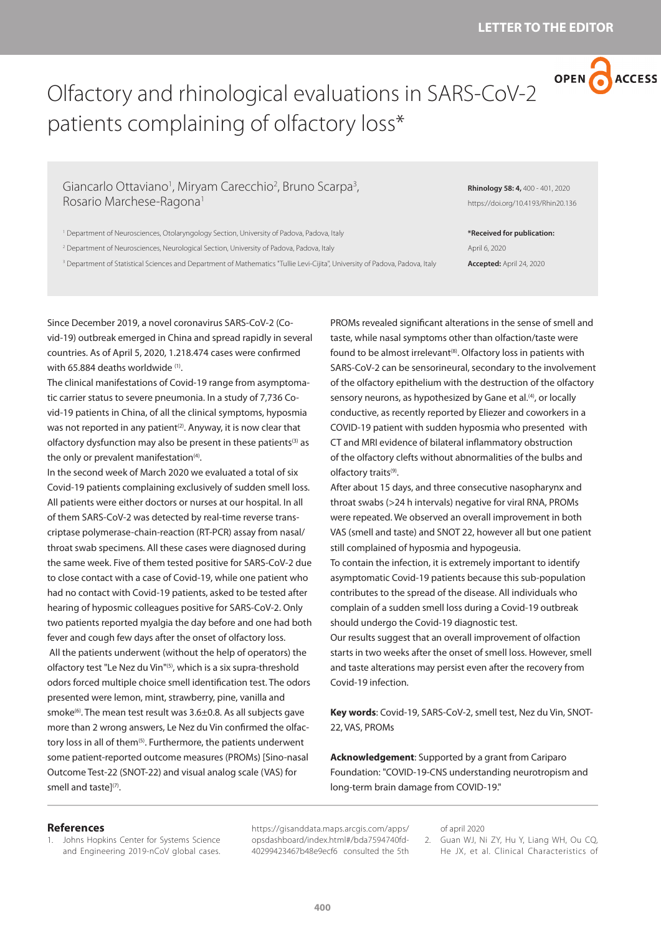

## Olfactory and rhinological evaluations in SARS-CoV-2 patients complaining of olfactory loss\*

Giancarlo Ottaviano<sup>1</sup>, Miryam Carecchio<sup>2</sup>, Bruno Scarpa<sup>3</sup>, Rosario Marchese-Ragona1

<sup>1</sup> Department of Neurosciences, Otolaryngology Section, University of Padova, Padova, Italy

2 Department of Neurosciences, Neurological Section, University of Padova, Padova, Italy

<sup>3</sup> Department of Statistical Sciences and Department of Mathematics "Tullie Levi-Cijita", University of Padova, Padova, Italy

**Rhinology 58: 4,** 400 - 401, 2020 https://doi.org/10.4193/Rhin20.136

**\*Received for publication:** April 6, 2020

**Accepted:** April 24, 2020

Since December 2019, a novel coronavirus SARS-CoV-2 (Covid-19) outbreak emerged in China and spread rapidly in several countries. As of April 5, 2020, 1.218.474 cases were confirmed with 65.884 deaths worldwide (1).

The clinical manifestations of Covid-19 range from asymptomatic carrier status to severe pneumonia. In a study of 7,736 Covid-19 patients in China, of all the clinical symptoms, hyposmia was not reported in any patient<sup>(2)</sup>. Anyway, it is now clear that olfactory dysfunction may also be present in these patients<sup>(3)</sup> as the only or prevalent manifestation $(4)$ .

In the second week of March 2020 we evaluated a total of six Covid-19 patients complaining exclusively of sudden smell loss. All patients were either doctors or nurses at our hospital. In all of them SARS-CoV-2 was detected by real-time reverse transcriptase polymerase-chain-reaction (RT-PCR) assay from nasal/ throat swab specimens. All these cases were diagnosed during the same week. Five of them tested positive for SARS-CoV-2 due to close contact with a case of Covid-19, while one patient who had no contact with Covid-19 patients, asked to be tested after hearing of hyposmic colleagues positive for SARS-CoV-2. Only two patients reported myalgia the day before and one had both fever and cough few days after the onset of olfactory loss. All the patients underwent (without the help of operators) the olfactory test "Le Nez du Vin"(5), which is a six supra-threshold odors forced multiple choice smell identification test. The odors presented were lemon, mint, strawberry, pine, vanilla and smoke<sup>(6)</sup>. The mean test result was  $3.6\pm0.8$ . As all subjects gave more than 2 wrong answers, Le Nez du Vin confirmed the olfactory loss in all of them<sup>(5)</sup>. Furthermore, the patients underwent some patient-reported outcome measures (PROMs) [Sino-nasal Outcome Test-22 (SNOT-22) and visual analog scale (VAS) for smell and taste]<sup>(7)</sup>.

PROMs revealed significant alterations in the sense of smell and taste, while nasal symptoms other than olfaction/taste were found to be almost irrelevant<sup>(8)</sup>. Olfactory loss in patients with SARS-CoV-2 can be sensorineural, secondary to the involvement of the olfactory epithelium with the destruction of the olfactory sensory neurons, as hypothesized by Gane et al.<sup>(4)</sup>, or locally conductive, as recently reported by Eliezer and coworkers in a COVID-19 patient with sudden hyposmia who presented with CT and MRI evidence of bilateral inflammatory obstruction of the olfactory clefts without abnormalities of the bulbs and olfactory traits<sup>(9)</sup>.

After about 15 days, and three consecutive nasopharynx and throat swabs (>24 h intervals) negative for viral RNA, PROMs were repeated. We observed an overall improvement in both VAS (smell and taste) and SNOT 22, however all but one patient still complained of hyposmia and hypogeusia.

To contain the infection, it is extremely important to identify asymptomatic Covid-19 patients because this sub-population contributes to the spread of the disease. All individuals who complain of a sudden smell loss during a Covid-19 outbreak should undergo the Covid-19 diagnostic test.

Our results suggest that an overall improvement of olfaction starts in two weeks after the onset of smell loss. However, smell and taste alterations may persist even after the recovery from Covid-19 infection.

**Key words**: Covid-19, SARS-CoV-2, smell test, Nez du Vin, SNOT-22, VAS, PROMs

**Acknowledgement**: Supported by a grant from Cariparo Foundation: "COVID-19-CNS understanding neurotropism and long-term brain damage from COVID-19."

## **References**

1. Johns Hopkins Center for Systems Science and Engineering 2019-nCoV global cases. https://gisanddata.maps.arcgis.com/apps/ opsdashboard/index.html#/bda7594740fd-40299423467b48e9ecf6 consulted the 5th

## of april 2020

2. Guan WJ, Ni ZY, Hu Y, Liang WH, Ou CQ, He JX, et al. Clinical Characteristics of